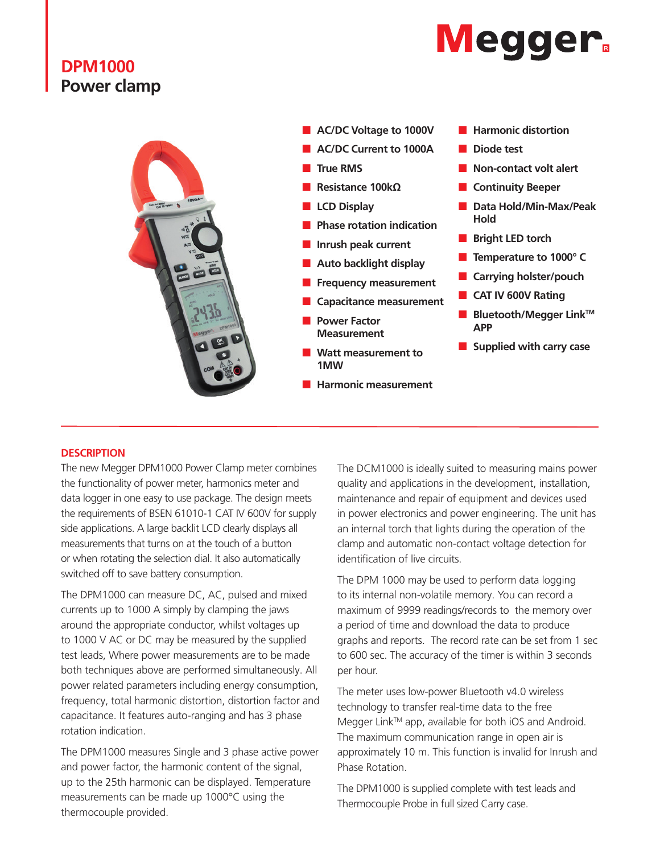## **DPM1000 Power clamp**





### **DESCRIPTION**

The new Megger DPM1000 Power Clamp meter combines the functionality of power meter, harmonics meter and data logger in one easy to use package. The design meets the requirements of BSEN 61010-1 CAT IV 600V for supply side applications. A large backlit LCD clearly displays all measurements that turns on at the touch of a button or when rotating the selection dial. It also automatically switched off to save battery consumption.

The DPM1000 can measure DC, AC, pulsed and mixed currents up to 1000 A simply by clamping the jaws around the appropriate conductor, whilst voltages up to 1000 V AC or DC may be measured by the supplied test leads, Where power measurements are to be made both techniques above are performed simultaneously. All power related parameters including energy consumption, frequency, total harmonic distortion, distortion factor and capacitance. It features auto-ranging and has 3 phase rotation indication.

The DPM1000 measures Single and 3 phase active power and power factor, the harmonic content of the signal, up to the 25th harmonic can be displayed. Temperature measurements can be made up 1000°C using the thermocouple provided.

The DCM1000 is ideally suited to measuring mains power quality and applications in the development, installation, maintenance and repair of equipment and devices used in power electronics and power engineering. The unit has an internal torch that lights during the operation of the clamp and automatic non-contact voltage detection for identification of live circuits.

The DPM 1000 may be used to perform data logging to its internal non-volatile memory. You can record a maximum of 9999 readings/records to the memory over a period of time and download the data to produce graphs and reports. The record rate can be set from 1 sec to 600 sec. The accuracy of the timer is within 3 seconds per hour.

The meter uses low-power Bluetooth v4.0 wireless technology to transfer real-time data to the free Megger Link™ app, available for both iOS and Android. The maximum communication range in open air is approximately 10 m. This function is invalid for Inrush and Phase Rotation.

The DPM1000 is supplied complete with test leads and Thermocouple Probe in full sized Carry case.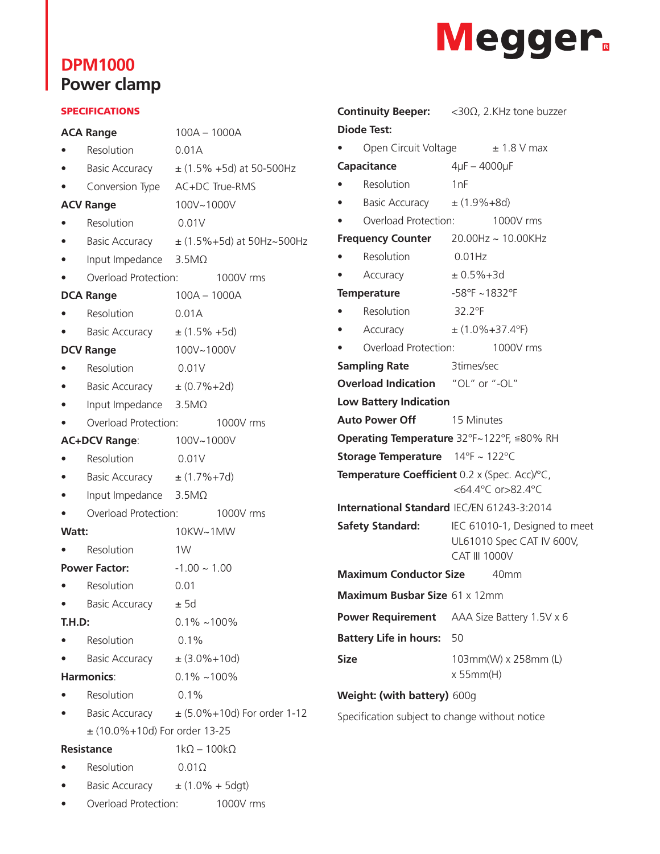# **DPM1000 Power clamp**



#### SPECIFICATIONS

| <b>ACA Range</b>     |                                            | 100A - 1000A                                   |  |  |
|----------------------|--------------------------------------------|------------------------------------------------|--|--|
|                      | Resolution                                 | 0.01A                                          |  |  |
|                      | Basic Accuracy                             | $\pm$ (1.5% +5d) at 50-500Hz                   |  |  |
|                      | Conversion Type                            | AC+DC True-RMS                                 |  |  |
|                      | <b>ACV Range</b>                           | 100V~1000V                                     |  |  |
|                      | Resolution                                 | 0.01V                                          |  |  |
|                      | <b>Basic Accuracy</b>                      | $\pm$ (1.5%+5d) at 50Hz~500Hz                  |  |  |
|                      | Input Impedance                            | $3.5M\Omega$                                   |  |  |
|                      | Overload Protection:                       | 1000V rms                                      |  |  |
| <b>DCA Range</b>     |                                            | $100A - 1000A$                                 |  |  |
|                      | Resolution                                 | 0.01A                                          |  |  |
|                      | <b>Basic Accuracy</b>                      | $\pm$ (1.5% +5d)                               |  |  |
| <b>DCV Range</b>     |                                            | 100V~1000V                                     |  |  |
|                      | Resolution                                 | 0.01V                                          |  |  |
|                      | Basic Accuracy $\pm (0.7\% + 2d)$          |                                                |  |  |
|                      | Input Impedance                            | $3.5M\Omega$                                   |  |  |
|                      | Overload Protection:                       | 1000V rms                                      |  |  |
| <b>AC+DCV Range:</b> |                                            | 100V~1000V                                     |  |  |
|                      | Resolution                                 | 0.01V                                          |  |  |
|                      | Basic Accuracy $\pm$ (1.7%+7d)             |                                                |  |  |
|                      | Input Impedance                            | $3.5M\Omega$                                   |  |  |
|                      | Overload Protection:                       | 1000V rms                                      |  |  |
| Watt:                |                                            | 10KW~1MW                                       |  |  |
| Resolution           |                                            | 1W                                             |  |  |
| <b>Power Factor:</b> |                                            | $-1.00 \sim 1.00$                              |  |  |
|                      | Resolution                                 | 0.01                                           |  |  |
|                      | <b>Basic Accuracy</b>                      | ±5d                                            |  |  |
| <b>T.H.D:</b>        |                                            | $0.1\%$ ~100%                                  |  |  |
|                      | Resolution                                 | 0.1%                                           |  |  |
|                      | Basic Accuracy $\pm$ (3.0%+10d)            |                                                |  |  |
| <b>Harmonics:</b>    |                                            | $0.1\%$ ~100%                                  |  |  |
|                      | Resolution                                 | 0.1%                                           |  |  |
|                      |                                            | Basic Accuracy $\pm$ (5.0%+10d) For order 1-12 |  |  |
|                      | $\pm$ (10.0%+10d) For order 13-25          |                                                |  |  |
| <b>Resistance</b>    |                                            | $1k\Omega - 100k\Omega$                        |  |  |
|                      | Resolution                                 | $0.01\Omega$                                   |  |  |
|                      | Basic Accuracy $\pm (1.0\% + 5\text{dgt})$ |                                                |  |  |
|                      | Overload Protection:                       | 1000V rms                                      |  |  |

|                                            |                                          | <b>Continuity Beeper:</b> <30Ω, 2.KHz tone buzzer                                  |  |  |  |  |
|--------------------------------------------|------------------------------------------|------------------------------------------------------------------------------------|--|--|--|--|
|                                            | <b>Diode Test:</b>                       |                                                                                    |  |  |  |  |
|                                            |                                          | Open Circuit Voltage $\pm$ 1.8 V max                                               |  |  |  |  |
| Capacitance                                |                                          | $4\mu$ F - 4000 $\mu$ F                                                            |  |  |  |  |
|                                            | Resolution                               | 1nF                                                                                |  |  |  |  |
|                                            | Basic Accuracy $\pm (1.9\% + 8d)$        |                                                                                    |  |  |  |  |
|                                            | Overload Protection:                     | 1000V rms                                                                          |  |  |  |  |
| Frequency Counter 20.00Hz ~ 10.00KHz       |                                          |                                                                                    |  |  |  |  |
|                                            | Resolution                               | 0.01Hz                                                                             |  |  |  |  |
|                                            | Accuracy                                 | $± 0.5% + 3d$                                                                      |  |  |  |  |
| <b>Temperature</b>                         |                                          | $-58^{\circ}$ F ~1832°F                                                            |  |  |  |  |
|                                            | Resolution 32.2°F                        |                                                                                    |  |  |  |  |
|                                            | Accuracy                                 | $\pm$ (1.0%+37.4°F)                                                                |  |  |  |  |
|                                            | Overload Protection:                     | 1000V rms                                                                          |  |  |  |  |
| <b>Sampling Rate</b>                       |                                          | 3times/sec                                                                         |  |  |  |  |
|                                            | <b>Overload Indication</b> "OL" or "-OL" |                                                                                    |  |  |  |  |
| <b>Low Battery Indication</b>              |                                          |                                                                                    |  |  |  |  |
| <b>Auto Power Off</b> 15 Minutes           |                                          |                                                                                    |  |  |  |  |
|                                            |                                          | Operating Temperature 32°F~122°F, ≦80% RH                                          |  |  |  |  |
|                                            | Storage Temperature 14°F ~ 122°C         |                                                                                    |  |  |  |  |
|                                            |                                          | Temperature Coefficient 0.2 x (Spec. Acc)/°C,<br><64.4°C or>82.4°C                 |  |  |  |  |
| International Standard IEC/EN 61243-3:2014 |                                          |                                                                                    |  |  |  |  |
|                                            | <b>Safety Standard:</b>                  | IEC 61010-1, Designed to meet<br>UL61010 Spec CAT IV 600V,<br><b>CAT III 1000V</b> |  |  |  |  |
|                                            | <b>Maximum Conductor Size</b>            | 40 <sub>mm</sub>                                                                   |  |  |  |  |
| <b>Maximum Busbar Size 61 x 12mm</b>       |                                          |                                                                                    |  |  |  |  |
| <b>Power Requirement</b>                   |                                          | AAA Size Battery 1.5V x 6                                                          |  |  |  |  |
| <b>Battery Life in hours:</b>              |                                          | 50                                                                                 |  |  |  |  |
| <b>Size</b>                                |                                          | 103mm(W) x 258mm (L)<br>x 55mm(H)                                                  |  |  |  |  |
|                                            | Weight: (with battery) 600g              |                                                                                    |  |  |  |  |

Specification subject to change without notice